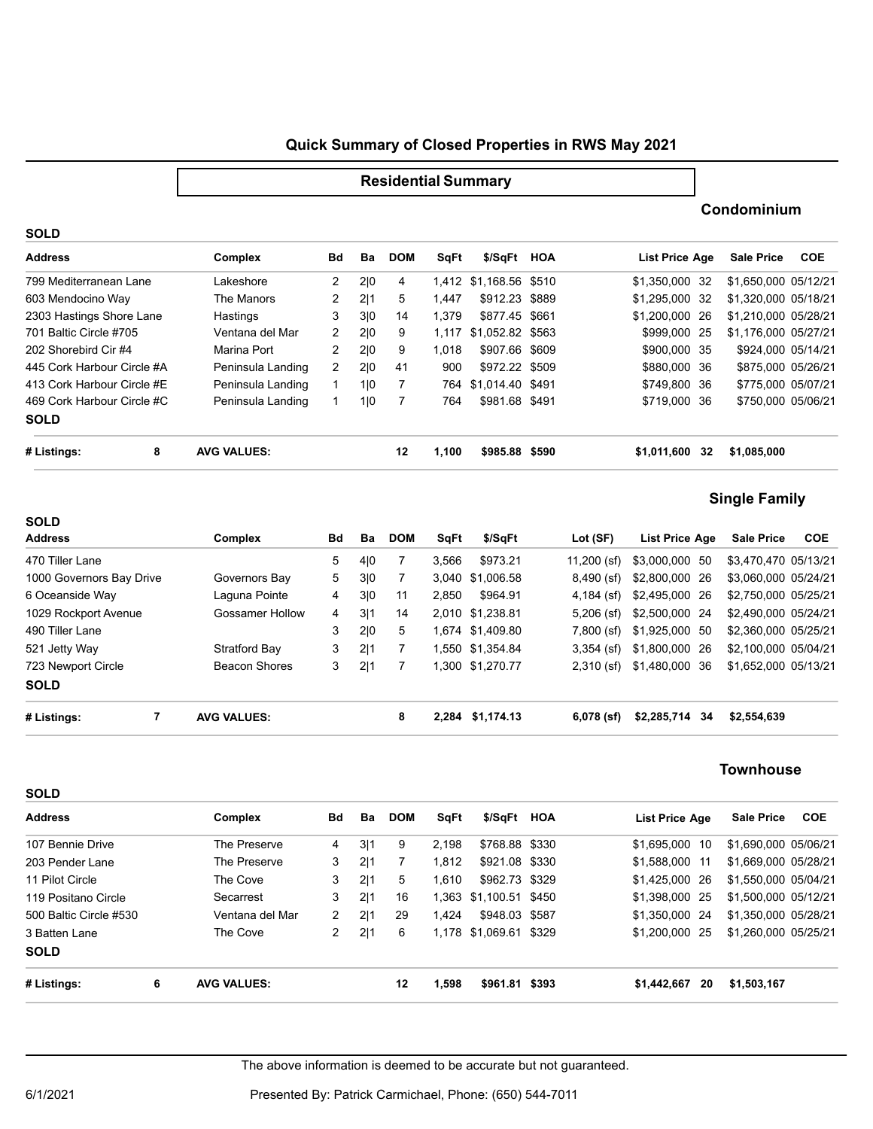## **Quick Summary of Closed Properties in RWS May 2021**

#### **SOLD Address Complex Bd DOMBa SqFt \$/SqFt HOA List Price Age Sale Price COE** 799 Mediterranean Lane Lakeshore 2 2|0 4 1,412 \$1,168.56 \$510 \$1,350,000 32 \$1,650,000 05/12/21 603 Mendocino Way 2 2|1 5 1,447 \$912.23 \$889 \$1,295,000 32 \$1,320,000 05/18/21 2303 Hastings Shore Lane Hastings 3 310 14 1,379 \$877.45 \$661 \$1,200,000 26 \$1,210,000 05/28/21 701 Baltic Circle #705 **201 2 2 20 1 1,117 \$1,052.82** \$563 \$999,000 25 \$1,176,000 05/27/21 202 Shorebird Cir #4 2 2|0 9 1,018 \$907.66 \$900,000 35 \$924,000 05/14/21 The Manors **Hastings** Ventana del Mar \$907.66 \$609 445 Cork Harbour Circle #A Peninsula Landing 2 2|0 41 900 \$972.22 \$509 \$880,000 36 \$875,000 05/26/21 413 Cork Harbour Circle #E Peninsula Landing 1 1 10 7 764 \$1,014.40 \$491 \$749,800 36 \$775,000 05/07/21 469 Cork Harbour Circle #C 1 1|0 7 764 \$981.68 \$719,000 36 \$750,000 05/06/21 Peninsula Landing Peninsula Landing Peninsula Landing **SOLD # Listings: 8 AVG VALUES: 12 1,100 \$985.88 \$590 \$1,011,600 \$1,085,000 32**

# **Single Family**

**Condominium**

| <b>SOLD</b>                      |   |                      |    |     |            |       |                  |               |                   |                      |            |
|----------------------------------|---|----------------------|----|-----|------------|-------|------------------|---------------|-------------------|----------------------|------------|
| <b>Address</b>                   |   | Complex              | Bd | Ba  | <b>DOM</b> | SqFt  | \$/SqFt          | Lot (SF)      | List Price Age    | <b>Sale Price</b>    | <b>COE</b> |
| 470 Tiller Lane                  |   |                      | 5  | 4 0 |            | 3.566 | \$973.21         | $11,200$ (sf) | \$3,000,000 50    | \$3.470.470 05/13/21 |            |
| 1000 Governors Bay Drive         |   | Governors Bay        | 5  | 3 0 | 7          |       | 3,040 \$1,006.58 | $8,490$ (sf)  | \$2,800,000 26    | \$3.060.000 05/24/21 |            |
| 6 Oceanside Way<br>Laguna Pointe |   |                      | 4  | 3 0 | 11         | 2.850 | \$964.91         | $4.184$ (sf)  | \$2,495,000 26    | \$2.750.000 05/25/21 |            |
| 1029 Rockport Avenue             |   | Gossamer Hollow      | 4  | 3 1 | 14         |       | 2.010 \$1.238.81 | $5,206$ (sf)  | \$2,500,000 24    | \$2.490.000 05/24/21 |            |
| 490 Tiller Lane                  |   |                      | 3  | 2 0 | 5          |       | 1,674 \$1,409.80 | $7,800$ (sf)  | \$1,925,000 50    | \$2,360,000 05/25/21 |            |
| 521 Jetty Way                    |   | Stratford Bay        | 3  | 2 1 |            |       | 1,550 \$1,354.84 | $3,354$ (sf)  | \$1,800,000 26    | \$2.100.000 05/04/21 |            |
| 723 Newport Circle               |   | <b>Beacon Shores</b> | 3  | 2 1 | 7          |       | 1,300 \$1,270.77 | $2,310$ (sf)  | \$1,480,000 36    | \$1,652,000 05/13/21 |            |
| <b>SOLD</b>                      |   |                      |    |     |            |       |                  |               |                   |                      |            |
| # Listings:                      | 7 | <b>AVG VALUES:</b>   |    |     | 8          |       | 2,284 \$1,174.13 | $6,078$ (sf)  | \$2,285,714<br>34 | \$2,554,639          |            |

### **Townhouse**

| <b>Address</b>         |   | Complex            | Bd             | Ba  | <b>DOM</b> | SqFt  | \$/SqFt HOA            | List Price Age    | <b>Sale Price</b>    | COE |
|------------------------|---|--------------------|----------------|-----|------------|-------|------------------------|-------------------|----------------------|-----|
| 107 Bennie Drive       |   | The Preserve       | 4              | 3 1 | 9          | 2.198 | \$768.88 \$330         | \$1,695,000<br>10 | \$1,690,000 05/06/21 |     |
| 203 Pender Lane        |   | The Preserve       | 3              | 2 1 |            | 1.812 | \$921.08 \$330         | \$1,588,000 11    | \$1.669.000 05/28/21 |     |
| 11 Pilot Circle        |   | The Cove           | 3              | 2 1 | 5          | 1.610 | \$962.73 \$329         | \$1,425,000 26    | \$1,550,000 05/04/21 |     |
| 119 Positano Circle    |   | Secarrest          | 3              | 2 1 | 16         |       | 1,363 \$1,100.51 \$450 | \$1,398,000 25    | \$1,500,000 05/12/21 |     |
| 500 Baltic Circle #530 |   | Ventana del Mar    | $\overline{2}$ | 2 1 | 29         | 1.424 | \$948.03 \$587         | \$1,350,000 24    | \$1.350.000 05/28/21 |     |
| 3 Batten Lane          |   | The Cove           | 2              | 2 1 | 6          |       | 1,178 \$1,069.61 \$329 | \$1,200,000 25    | \$1,260,000 05/25/21 |     |
| <b>SOLD</b>            |   |                    |                |     |            |       |                        |                   |                      |     |
| # Listings:            | 6 | <b>AVG VALUES:</b> |                |     | 12         | 1,598 | \$961.81 \$393         | \$1,442,667<br>20 | \$1,503,167          |     |

The above information is deemed to be accurate but not guaranteed.

**SOLD**

6/1/2021 Presented By: Patrick Carmichael, Phone: (650) 544-7011

**Residential Summary**